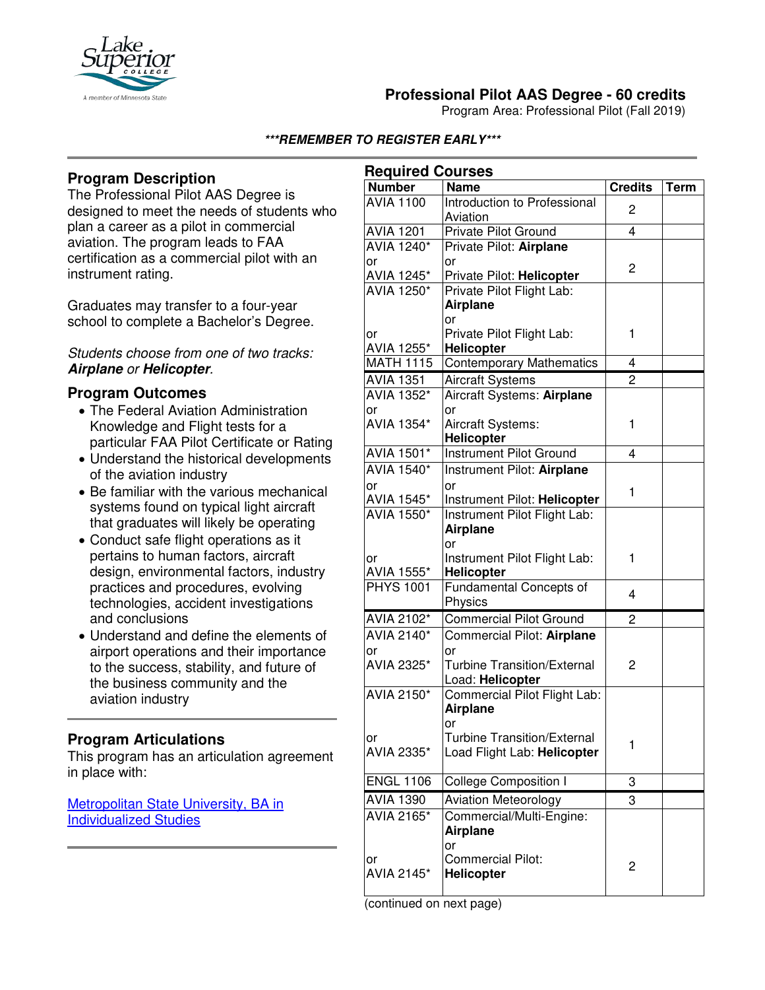

# **Professional Pilot AAS Degree - 60 credits**

Program Area: Professional Pilot (Fall 2019)

#### **\*\*\*REMEMBER TO REGISTER EARLY\*\*\***

## **Program Description**

The Professional Pilot AAS Degree is designed to meet the needs of students who plan a career as a pilot in commercial aviation. The program leads to FAA certification as a commercial pilot with an instrument rating.

Graduates may transfer to a four-year school to complete a Bachelor's Degree.

#### *Students choose from one of two tracks:*  **Airplane** *or* **Helicopter***.*

### **Program Outcomes**

- The Federal Aviation Administration Knowledge and Flight tests for a particular FAA Pilot Certificate or Rating
- Understand the historical developments of the aviation industry
- Be familiar with the various mechanical systems found on typical light aircraft that graduates will likely be operating
- Conduct safe flight operations as it pertains to human factors, aircraft design, environmental factors, industry practices and procedures, evolving technologies, accident investigations and conclusions
- Understand and define the elements of airport operations and their importance to the success, stability, and future of the business community and the aviation industry

### **Program Articulations**

This program has an articulation agreement in place with:

[Metropolitan State University, BA](http://www.mntransfer.org/download.php?id=6068) in [Individualized Studies](http://www.mntransfer.org/download.php?id=6068)

| <b>Required Courses</b>        |                                    |                |             |  |  |
|--------------------------------|------------------------------------|----------------|-------------|--|--|
| <b>Number</b>                  | <b>Name</b>                        | <b>Credits</b> | <b>Term</b> |  |  |
| <b>AVIA 1100</b>               | Introduction to Professional       | 2              |             |  |  |
|                                | Aviation                           |                |             |  |  |
| <b>AVIA 1201</b>               | Private Pilot Ground               | 4              |             |  |  |
| <b>AVIA 1240*</b>              | Private Pilot: Airplane            |                |             |  |  |
| or                             | or                                 | 2              |             |  |  |
| AVIA 1245*                     | Private Pilot: Helicopter          |                |             |  |  |
| <b>AVIA 1250*</b>              | Private Pilot Flight Lab:          |                |             |  |  |
|                                | Airplane                           |                |             |  |  |
|                                | or                                 | 1              |             |  |  |
| or                             | Private Pilot Flight Lab:          |                |             |  |  |
| AVIA 1255*<br><b>MATH 1115</b> | <b>Helicopter</b>                  | 4              |             |  |  |
|                                | <b>Contemporary Mathematics</b>    |                |             |  |  |
| AVIA 1351                      | <b>Aircraft Systems</b>            | 2              |             |  |  |
| AVIA 1352*                     | Aircraft Systems: Airplane         |                |             |  |  |
| or<br>AVIA 1354*               | or<br>Aircraft Systems:            | 1              |             |  |  |
|                                | Helicopter                         |                |             |  |  |
| AVIA 1501*                     | <b>Instrument Pilot Ground</b>     | 4              |             |  |  |
| <b>AVIA 1540*</b>              | Instrument Pilot: Airplane         |                |             |  |  |
| or                             | or                                 |                |             |  |  |
| AVIA 1545*                     | Instrument Pilot: Helicopter       | 1              |             |  |  |
| AVIA 1550*                     | Instrument Pilot Flight Lab:       |                |             |  |  |
|                                | <b>Airplane</b>                    |                |             |  |  |
|                                | or                                 |                |             |  |  |
| or                             | Instrument Pilot Flight Lab:       | 1              |             |  |  |
| AVIA 1555*                     | <b>Helicopter</b>                  |                |             |  |  |
| <b>PHYS 1001</b>               | Fundamental Concepts of            | 4              |             |  |  |
|                                | Physics                            |                |             |  |  |
| AVIA 2102*                     | <b>Commercial Pilot Ground</b>     | 2              |             |  |  |
| AVIA 2140*                     | Commercial Pilot: Airplane         |                |             |  |  |
| or                             | or                                 |                |             |  |  |
| <b>AVIA 2325*</b>              | <b>Turbine Transition/External</b> | $\overline{c}$ |             |  |  |
|                                | Load: Helicopter                   |                |             |  |  |
| <b>AVIA 2150*</b>              | Commercial Pilot Flight Lab:       |                |             |  |  |
|                                | <b>Airplane</b>                    |                |             |  |  |
|                                | or                                 |                |             |  |  |
| or                             | Turbine Transition/External        | 1              |             |  |  |
| AVIA 2335*                     | Load Flight Lab: Helicopter        |                |             |  |  |
| <b>ENGL 1106</b>               | <b>College Composition I</b>       | 3              |             |  |  |
| <b>AVIA 1390</b>               | <b>Aviation Meteorology</b>        | 3              |             |  |  |
| AVIA 2165*                     | Commercial/Multi-Engine:           |                |             |  |  |
|                                | Airplane                           |                |             |  |  |
|                                | or                                 |                |             |  |  |
| or                             | <b>Commercial Pilot:</b>           | 2              |             |  |  |
| AVIA 2145*                     | <b>Helicopter</b>                  |                |             |  |  |
|                                |                                    |                |             |  |  |

(continued on next page)